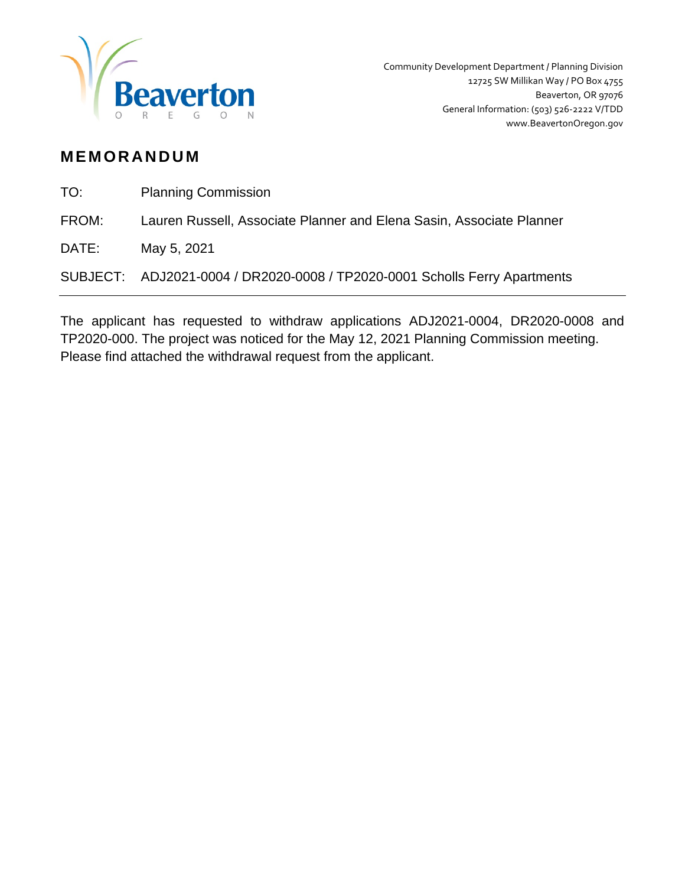

# **MEMORANDUM**

TO: Planning Commission

FROM: Lauren Russell, Associate Planner and Elena Sasin, Associate Planner

DATE: May 5, 2021

SUBJECT: ADJ2021-0004 / DR2020-0008 / TP2020-0001 Scholls Ferry Apartments

The applicant has requested to withdraw applications ADJ2021-0004, DR2020-0008 and TP2020-000. The project was noticed for the May 12, 2021 Planning Commission meeting. Please find attached the withdrawal request from the applicant.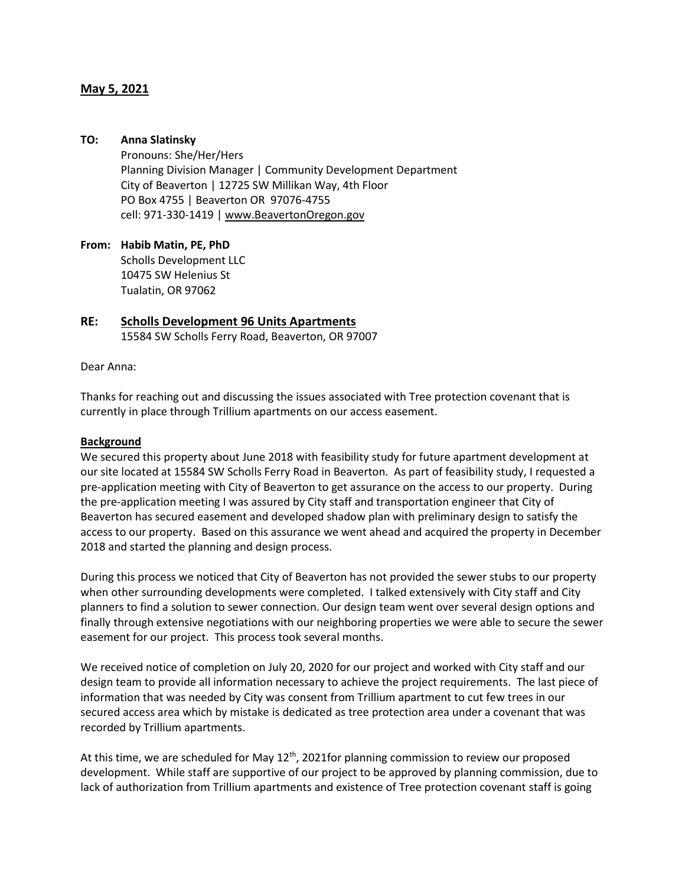## **May 5, 2021**

## **TO: Anna Slatinsky**

Pronouns: She/Her/Hers Planning Division Manager | Community Development Department City of Beaverton | 12725 SW Millikan Way, 4th Floor PO Box 4755 | Beaverton OR 97076-4755 cell: 971-330-1419 | [www.BeavertonOregon.gov](https://urldefense.proofpoint.com/v2/url?u=http-3A__www.beavertonoregon.gov_&d=DwMFAw&c=jVj56eFZMBdw2XTy1WmujjlEfwGR4yGcPx8hs15Otm8&r=eyuL_wodq6MmFwPvgdghVhjpNN6LfWsI7GFaPE80RxG51_Rw9vfTuvrsyRovZlMD&m=uw1o4qdzYPC4mFrAU-T5XwFepVzFP3CG7ZBeihu7GAE&s=sqeYka2N0GdJ0rQaWKTmWM683h5ZHPDlI3FLPwtN-jA&e=)

**From: Habib Matin, PE, PhD** Scholls Development LLC 10475 SW Helenius St Tualatin, OR 97062

## **RE: Scholls Development 96 Units Apartments** 15584 SW Scholls Ferry Road, Beaverton, OR 97007

### Dear Anna:

Thanks for reaching out and discussing the issues associated with Tree protection covenant that is currently in place through Trillium apartments on our access easement.

#### **Background**

We secured this property about June 2018 with feasibility study for future apartment development at our site located at 15584 SW Scholls Ferry Road in Beaverton. As part of feasibility study, I requested a pre-application meeting with City of Beaverton to get assurance on the access to our property. During the pre-application meeting I was assured by City staff and transportation engineer that City of Beaverton has secured easement and developed shadow plan with preliminary design to satisfy the access to our property. Based on this assurance we went ahead and acquired the property in December 2018 and started the planning and design process.

During this process we noticed that City of Beaverton has not provided the sewer stubs to our property when other surrounding developments were completed. I talked extensively with City staff and City planners to find a solution to sewer connection. Our design team went over several design options and finally through extensive negotiations with our neighboring properties we were able to secure the sewer easement for our project. This process took several months.

We received notice of completion on July 20, 2020 for our project and worked with City staff and our design team to provide all information necessary to achieve the project requirements. The last piece of information that was needed by City was consent from Trillium apartment to cut few trees in our secured access area which by mistake is dedicated as tree protection area under a covenant that was recorded by Trillium apartments.

At this time, we are scheduled for May 12<sup>th</sup>, 2021for planning commission to review our proposed development. While staff are supportive of our project to be approved by planning commission, due to lack of authorization from Trillium apartments and existence of Tree protection covenant staff is going